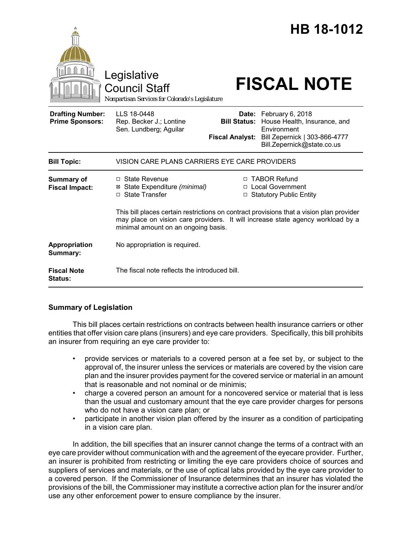|                                                   | Legislative<br><b>Council Staff</b><br>Nonpartisan Services for Colorado's Legislature                                                                                                                             |                                                                   | HB 18-1012<br><b>FISCAL NOTE</b>                                                                                                                                  |
|---------------------------------------------------|--------------------------------------------------------------------------------------------------------------------------------------------------------------------------------------------------------------------|-------------------------------------------------------------------|-------------------------------------------------------------------------------------------------------------------------------------------------------------------|
| <b>Drafting Number:</b><br><b>Prime Sponsors:</b> | LLS 18-0448<br>Rep. Becker J.; Lontine<br>Sen. Lundberg; Aguilar                                                                                                                                                   |                                                                   | Date: February 6, 2018<br>Bill Status: House Health, Insurance, and<br>Environment<br>Fiscal Analyst: Bill Zepernick   303-866-4777<br>Bill.Zepernick@state.co.us |
| <b>Bill Topic:</b>                                | VISION CARE PLANS CARRIERS EYE CARE PROVIDERS                                                                                                                                                                      |                                                                   |                                                                                                                                                                   |
| Summary of<br><b>Fiscal Impact:</b>               | $\Box$ State Revenue<br>⊠ State Expenditure (minimal)<br>□ State Transfer                                                                                                                                          | □ TABOR Refund<br>□ Local Government<br>□ Statutory Public Entity |                                                                                                                                                                   |
|                                                   | This bill places certain restrictions on contract provisions that a vision plan provider<br>may place on vision care providers. It will increase state agency workload by a<br>minimal amount on an ongoing basis. |                                                                   |                                                                                                                                                                   |
| Appropriation<br>Summary:                         | No appropriation is required.                                                                                                                                                                                      |                                                                   |                                                                                                                                                                   |
| <b>Fiscal Note</b><br><b>Status:</b>              | The fiscal note reflects the introduced bill.                                                                                                                                                                      |                                                                   |                                                                                                                                                                   |

## **Summary of Legislation**

This bill places certain restrictions on contracts between health insurance carriers or other entities that offer vision care plans (insurers) and eye care providers. Specifically, this bill prohibits an insurer from requiring an eye care provider to:

- provide services or materials to a covered person at a fee set by, or subject to the approval of, the insurer unless the services or materials are covered by the vision care plan and the insurer provides payment for the covered service or material in an amount that is reasonable and not nominal or de minimis;
- charge a covered person an amount for a noncovered service or material that is less than the usual and customary amount that the eye care provider charges for persons who do not have a vision care plan; or
- participate in another vision plan offered by the insurer as a condition of participating in a vision care plan.

In addition, the bill specifies that an insurer cannot change the terms of a contract with an eye care provider without communication with and the agreement of the eyecare provider. Further, an insurer is prohibited from restricting or limiting the eye care providers choice of sources and suppliers of services and materials, or the use of optical labs provided by the eye care provider to a covered person. If the Commissioner of Insurance determines that an insurer has violated the provisions of the bill, the Commissioner may institute a corrective action plan for the insurer and/or use any other enforcement power to ensure compliance by the insurer.